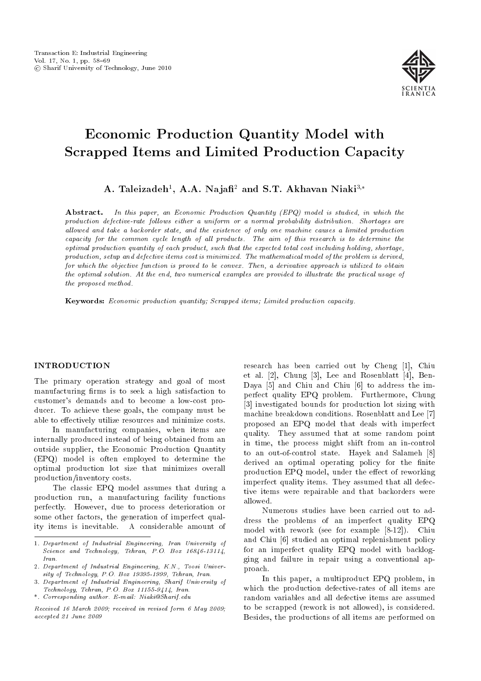

# Economic Production Quantity Model with Scrapped Items and Limited Production Capacity

A. Taleizadeh<sup>1</sup>, A.A. Najafi<sup>2</sup> and S.T. Akhavan Niaki<sup>3,\*</sup>

**Abstract.** In this paper, an Economic Production Quantity  $(EPQ)$  model is studied, in which the production defective-rate follows either a uniform or a normal probability distribution. Shortages are allowed and take a backorder state, and the existence of only one machine causes a limited production capacity for the common cycle length of all products. The aim of this research is to determine the optimal production quantity of each product, such that the expected total cost including holding, shortage, production, setup and defective items cost is minimized. The mathematical model of the problem is derived, for which the objective function is proved to be convex. Then, a derivative approach is utilized to obtain the optimal solution. At the end, two numerical examples are provided to illustrate the practical usage of the proposed method.

Keywords: Economic production quantity; Scrapped items; Limited production capacity.

## INTRODUCTION

The primary operation strategy and goal of most manufacturing firms is to seek a high satisfaction to customer's demands and to become a low-cost producer. To achieve these goals, the company must be able to effectively utilize resources and minimize costs.

In manufacturing companies, when items are internally produced instead of being obtained from an outside supplier, the Economic Production Quantity (EPQ) model is often employed to determine the optimal production lot size that minimizes overall production/inventory costs.

The classic EPQ model assumes that during a production run, a manufacturing facility functions perfectly. However, due to process deterioration or some other factors, the generation of imperfect quality items is inevitable. A considerable amount of

3. Department of Industrial Engineering, Sharif University of Technology, Tehran, P.O. Box 11155-9414, Iran.

\*. Corresponding author. E-mail: Niaki@Sharif.edu

Received 16 March 2009; received in revised form 6 May 2009; accepted 21 June 2009

research has been carried out by Cheng [1], Chiu et al. [2], Chung [3], Lee and Rosenblatt [4], Ben-Daya [5] and Chiu and Chiu [6] to address the imperfect quality EPQ problem. Furthermore, Chung [3] investigated bounds for production lot sizing with machine breakdown conditions. Rosenblatt and Lee [7] proposed an EPQ model that deals with imperfect quality. They assumed that at some random point in time, the process might shift from an in-control to an out-of-control state. Hayek and Salameh [8] derived an optimal operating policy for the finite production EPQ model, under the effect of reworking imperfect quality items. They assumed that all defective items were repairable and that backorders were allowed.

Numerous studies have been carried out to address the problems of an imperfect quality EPQ model with rework (see for example [8-12]). Chiu and Chiu [6] studied an optimal replenishment policy for an imperfect quality EPQ model with backlogging and failure in repair using a conventional approach.

In this paper, a multiproduct EPQ problem, in which the production defective-rates of all items are random variables and all defective items are assumed to be scrapped (rework is not allowed), is considered. Besides, the productions of all items are performed on

<sup>1.</sup> Department of Industrial Engineering, Iran University of Science and Technology, Tehran, P.O. Box 16846-13114, Iran.

<sup>2.</sup> Department of Industrial Engineering, K.N., Toosi University of Technology, P.O. Box 19395-1999, Tehran, Iran.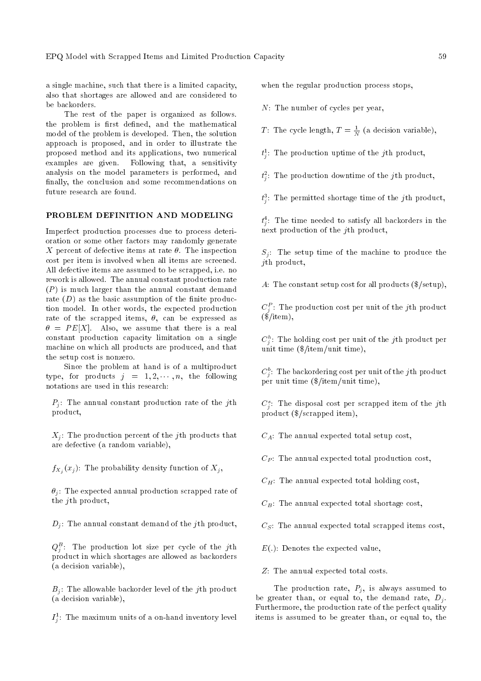a single machine, such that there is a limited capacity, also that shortages are allowed and are considered to be backorders.

The rest of the paper is organized as follows. the problem is first defined, and the mathematical model of the problem is developed. Then, the solution approach is proposed, and in order to illustrate the proposed method and its applications, two numerical examples are given. Following that, a sensitivity analysis on the model parameters is performed, and finally, the conclusion and some recommendations on future research are found.

#### PROBLEM DEFINITION AND MODELING

Imperfect production processes due to process deterioration or some other factors may randomly generate X percent of defective items at rate  $\theta$ . The inspection cost per item is involved when all items are screened. All defective items are assumed to be scrapped, i.e. no rework is allowed. The annual constant production rate  $(P)$  is much larger than the annual constant demand rate  $(D)$  as the basic assumption of the finite production model. In other words, the expected production rate of the scrapped items,  $\theta$ , can be expressed as  $\theta = PE[X]$ . Also, we assume that there is a real constant production capacity limitation on a single machine on which all products are produced, and that the setup cost is nonzero.

Since the problem at hand is of a multiproduct type, for products  $j = 1, 2, \dots, n$ , the following notations are used in this research:

 $P_i$ : The annual constant production rate of the jth product,

 $X_i$ : The production percent of the *j*th products that are defective (a random variable),

 $f_{X_j}(x_j)$ : The probability density function of  $X_j,$ 

 $\theta_i$ : The expected annual production scrapped rate of the *i*th product,

 $D_i$ : The annual constant demand of the *j*th product,

 $Q_j^B$ : The production lot size per cycle of the jth product in which shortages are allowed as backorders (a decision variable),

 $B_i$ : The allowable backorder level of the *j*th product (a decision variable),

 $I_j^1$ : The maximum units of a on-hand inventory level

when the regular production process stops.

N: The number of cycles per year,

T: The cycle length,  $T = \frac{1}{N}$  (a decision variable),

 $t_j^1$ : The production uptime of the jth product,

 $t_j^2$ : The production downtime of the jth product,

 $t_j^3$ : The permitted shortage time of the jth product,

 $t_j^4$ : The time needed to satisfy all backorders in the next production of the jth product,

 $S_i$ : The setup time of the machine to produce the jth product,

A: The constant setup cost for all products (\$/setup),

 $C_{j}^{\ P}$ : The production cost per unit of the  $j$ th product  $(\frac{\pi}{3}/\mathrm{item}),$ 

 $C_j^h$ : The holding cost per unit of the jth product per unit time (\$/item/unit time),

 $C_j^b$ : The backordering cost per unit of the jth product per unit time (\$/item/unit time),

 $C_j^s$ : The disposal cost per scrapped item of the jth product (\$/scrapped item),

 $C_A$ : The annual expected total setup cost,

 $C_P$ : The annual expected total production cost,

 $C_H$ : The annual expected total holding cost,

 $C_B$ : The annual expected total shortage cost,

 $C<sub>S</sub>$ : The annual expected total scrapped items cost,

 $E(.)$ : Denotes the expected value,

Z: The annual expected total costs.

The production rate,  $P_i$ , is always assumed to be greater than, or equal to, the demand rate,  $D_i$ . Furthermore, the production rate of the perfect quality items is assumed to be greater than, or equal to, the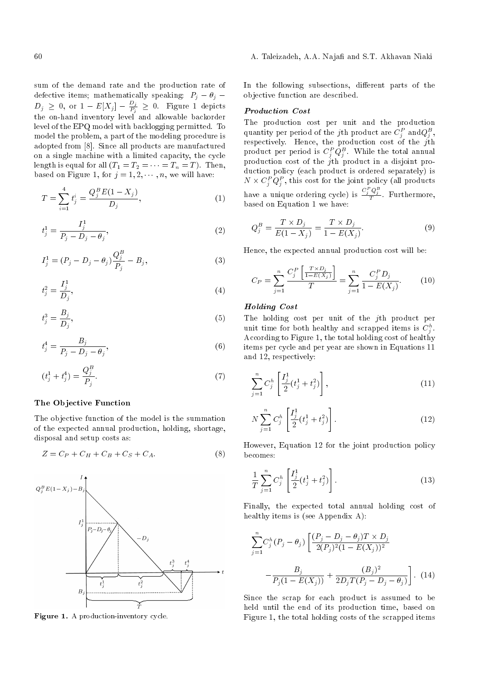sum of the demand rate and the production rate of defective items; mathematically speaking:  $P_j - \theta_j$  $D_j~\geq~0,$  or  $1~-E[X_j]~-~\frac{D_j}{P_j}$  $\frac{D_j}{P_j} \geq 0$ . Figure 1 depicts the on-hand inventory level and allowable backorder level of the EPQ model with backlogging permitted. To model the problem, a part of the modeling procedure is adopted from [8]. Since all products are manufactured on a single machine with a limited capacity, the cycle length is equal for all  $(T_1 = T_2 = \cdots = T_n = T)$ . Then, based on Figure 1, for  $j = 1, 2, \dots, n$ , we will have:

$$
T = \sum_{i=1}^{4} t_j^i = \frac{Q_j^B E(1 - X_j)}{D_j},\tag{1}
$$

$$
t_j^1 = \frac{I_j^1}{P_j - D_j - \theta_j},\tag{2}
$$

$$
I_j^1 = (P_j - D_j - \theta_j) \frac{Q_j^B}{P_j} - B_j, \qquad (3)
$$

$$
t_j^2 = \frac{I_j^1}{D_j},\tag{4}
$$

$$
t_j^3 = \frac{B_j}{D_j},\tag{5}
$$

$$
t_j^4 = \frac{B_j}{P_j - D_j - \theta_j},\tag{6}
$$

$$
(t_j^1 + t_j^4) = \frac{Q_j^B}{P_j}.
$$
\n(7)

#### The Objective Function

The objective function of the model is the summation of the expected annual production, holding, shortage, disposal and setup costs as:

$$
Z = C_P + C_H + C_B + C_S + C_A.
$$
 (8)



Figure 1. A production-inventory cycle.

In the following subsections, different parts of the objective function are described.

#### Production Cost

The production cost per unit and the production quantity per period of the  $j$ th product are  $C_j^P$  and $Q_j^B,$ respectively. Hence, the production cost of the  $j$ th product per period is  $C^P_jQ^B_j$ . While the total annual production cost of the  $j$ th product in a disjoint production policy (each product is ordered separately) is  $N \times C_j^P Q_j^P$ , this cost for the joint policy (all products have a unique ordering cycle) is  $\frac{C_j^P Q_j^B}{T}$ . Furthermore, based on Equation 1 we have:

$$
Q_j^B = \frac{T \times D_j}{E(1 - X_j)} = \frac{T \times D_j}{1 - E(X_j)}.
$$
\n(9)

Hence, the expected annual production cost will be:

$$
C_P = \sum_{j=1}^{n} \frac{C_j^P \left[ \frac{T \times D_j}{1 - E(X_j)} \right]}{T} = \sum_{j=1}^{n} \frac{C_j^P D_j}{1 - E(X_j)}.
$$
 (10)

### Holding Cost

The holding cost per unit of the jth product per unit time for both healthy and scrapped items is  $C_j^h$ . According to Figure 1, the total holding cost of healthy items per cycle and per year are shown in Equations 11 and 12, respectively:

$$
\sum_{j=1}^{n} C_j^h \left[ \frac{I_j^1}{2} (t_j^1 + t_j^2) \right], \tag{11}
$$

$$
N\sum_{j=1}^{n}C_{j}^{h}\left[\frac{I_{j}^{1}}{2}(t_{j}^{1}+t_{j}^{2})\right].
$$
\n(12)

However, Equation 12 for the joint production policy becomes:

$$
\frac{1}{T} \sum_{j=1}^{n} C_{j}^{h} \left[ \frac{I_{j}^{1}}{2} (t_{j}^{1} + t_{j}^{2}) \right].
$$
\n(13)

Finally, the expected total annual holding cost of healthy items is (see Appendix A):

$$
\sum_{j=1}^{n} C_j^h (P_j - \theta_j) \left[ \frac{(P_j - D_j - \theta_j) T \times D_j}{2(P_j)^2 (1 - E(X_j))^2} - \frac{B_j}{P_j (1 - E(X_j))} + \frac{(B_j)^2}{2D_j T (P_j - D_j - \theta_j)} \right].
$$
 (14)

Since the scrap for each product is assumed to be held until the end of its production time, based on Figure 1, the total holding costs of the scrapped items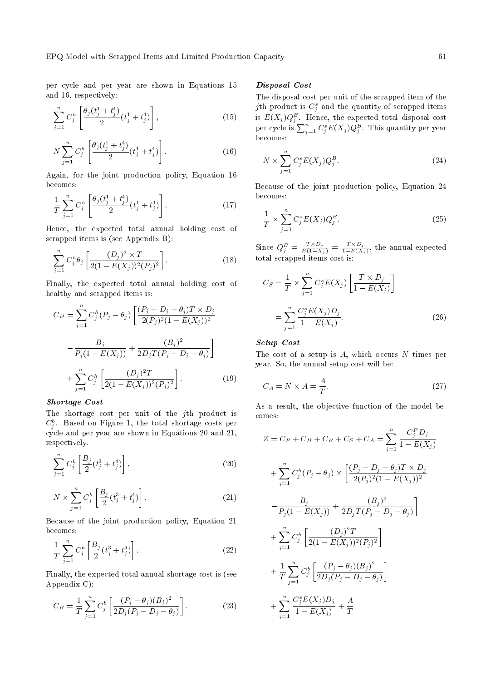per cycle and per year are shown in Equations 15 and 16, respectively:

$$
\sum_{j=1}^{n} C_j^h \left[ \frac{\theta_j(t_j^1 + t_j^4)}{2} (t_j^1 + t_j^4) \right], \tag{15}
$$

$$
N\sum_{j=1}^{n}C_{j}^{h}\left[\frac{\theta_{j}(t_{j}^{1}+t_{j}^{4})}{2}(t_{j}^{1}+t_{j}^{4})\right].
$$
\n(16)

Again, for the joint production policy, Equation 16 becomes:

$$
\frac{1}{T} \sum_{j=1}^{n} C_{j}^{h} \left[ \frac{\theta_{j} (t_{j}^{1} + t_{j}^{4})}{2} (t_{j}^{1} + t_{j}^{4}) \right]. \tag{17}
$$

Hence, the expected total annual holding cost of scrapped items is (see Appendix B):

$$
\sum_{j=1}^{n} C_j^h \theta_j \left[ \frac{(D_j)^2 \times T}{2(1 - E(X_j))^2 (P_j)^2} \right].
$$
 (18)

Finally, the expected total annual holding cost of healthy and scrapped items is:

$$
C_H = \sum_{j=1}^{n} C_j^h (P_j - \theta_j) \left[ \frac{(P_j - D_j - \theta_j) T \times D_j}{2(P_j)^2 (1 - E(X_j))^2} - \frac{B_j}{P_j (1 - E(X_j))} + \frac{(B_j)^2}{2D_j T (P_j - D_j - \theta_j)} \right]
$$
  
+ 
$$
\sum_{j=1}^{n} C_j^h \left[ \frac{(D_j)^2 T}{2(1 - E(X_j))^2 (P_j)^2} \right].
$$
 (19)

# Shortage Cost

The shortage cost per unit of the jth product is  $C^b_j$ . Based on Figure 1, the total shortage costs per cycle and per year are shown in Equations 20 and 21, respectively.

$$
\sum_{j=1}^{n} C_j^b \left[ \frac{B_j}{2} (t_j^3 + t_j^4) \right], \tag{20}
$$

$$
N \times \sum_{j=1}^{n} C_j^b \left[ \frac{B_j}{2} (t_j^3 + t_j^4) \right].
$$
 (21)

Because of the joint production policy, Equation 21 becomes:

$$
\frac{1}{T} \sum_{j=1}^{n} C_j^b \left[ \frac{B_j}{2} (t_j^3 + t_j^4) \right].
$$
\n(22)

Finally, the expected total annual shortage cost is (see Appendix C):

$$
C_B = \frac{1}{T} \sum_{j=1}^{n} C_j^b \left[ \frac{(P_j - \theta_j)(B_j)^2}{2D_j(P_j - D_j - \theta_j)} \right].
$$
 (23)

#### Disposal Cost

The disposal cost per unit of the scrapped item of the  $j$ th product is  $C_j^s$  and the quantity of scrapped items is  $E(X_j)Q_j^B$ . Hence, the expected total disposal cost per cycle is  $\sum_{j=1}^{n} C_j^s E(X_j) Q_j^B$ . This quantity per year becomes:

$$
N \times \sum_{j=1}^{n} C_j^s E(X_j) Q_j^B.
$$
 (24)

Because of the joint production policy, Equation 24 becomes:

$$
\frac{1}{T} \times \sum_{j=1}^{n} C_j^s E(X_j) Q_j^B. \tag{25}
$$

Since  $Q_j^B = \frac{T \times D_j}{E(1-X_j)} = \frac{T \times D_j}{1-E(X)}$  $\frac{1 \times D_j}{1-E(X_j)}$ , the annual expected total scrapped items cost is:

$$
C_S = \frac{1}{T} \times \sum_{j=1}^{n} C_j^s E(X_j) \left[ \frac{T \times D_j}{1 - E(X_j)} \right]
$$
  
= 
$$
\sum_{j=1}^{n} \frac{C_j^s E(X_j) D_j}{1 - E(X_j)}.
$$
 (26)

# Setup Cost

The cost of a setup is  $A$ , which occurs  $N$  times per year. So, the annual setup cost will be:

$$
C_A = N \times A = \frac{A}{T}.
$$
\n(27)

As a result, the objective function of the model becomes:

$$
Z = C_P + C_H + C_B + C_S + C_A = \sum_{j=1}^{n} \frac{C_j^P D_j}{1 - E(X_j)}
$$
  
+ 
$$
\sum_{j=1}^{n} C_j^h (P_j - \theta_j) \times \left[ \frac{(P_j - D_j - \theta_j)T \times D_j}{2(P_j)^2 (1 - E(X_j))^2} - \frac{B_j}{P_j (1 - E(X_j))} + \frac{(B_j)^2}{2D_j T (P_j - D_j - \theta_j)} \right]
$$
  
+ 
$$
\sum_{j=1}^{n} C_j^h \left[ \frac{(D_j)^2 T}{2(1 - E(X_j))^2 (P_j)^2} \right]
$$
  
+ 
$$
\frac{1}{T} \sum_{j=1}^{n} C_j^b \left[ \frac{(P_j - \theta_j)(B_j)^2}{2D_j (P_j - D_j - \theta_j)} \right]
$$
  
+ 
$$
\sum_{j=1}^{n} \frac{C_j^s E(X_j) D_j}{1 - E(X_j)} + \frac{A}{T}
$$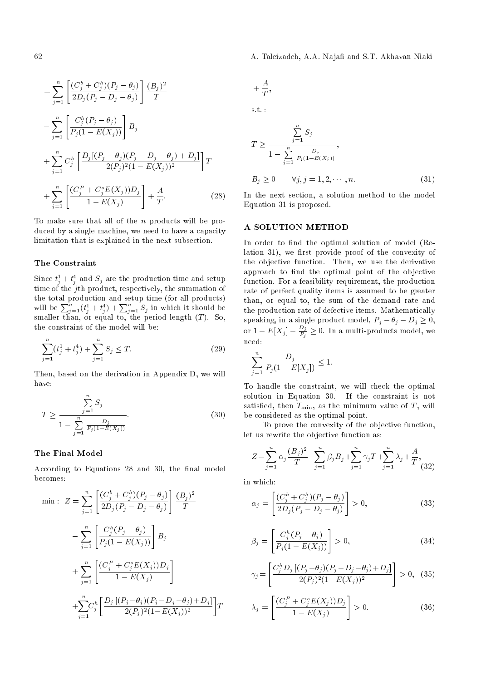62 A. Taleizadeh, A.A. Naja and S.T. Akhavan Niaki

$$
= \sum_{j=1}^{n} \left[ \frac{(C_j^b + C_j^h)(P_j - \theta_j)}{2D_j(P_j - D_j - \theta_j)} \right] \frac{(B_j)^2}{T}
$$
  

$$
- \sum_{j=1}^{n} \left[ \frac{C_j^h(P_j - \theta_j)}{P_j(1 - E(X_j))} \right] B_j
$$
  

$$
+ \sum_{j=1}^{n} C_j^h \left[ \frac{D_j[(P_j - \theta_j)(P_j - D_j - \theta_j) + D_j]}{2(P_j)^2(1 - E(X_j))^2} \right] T
$$
  

$$
+ \sum_{j=1}^{n} \left[ \frac{(C_j^P + C_j^s E(X_j))D_j}{1 - E(X_j)} \right] + \frac{A}{T}.
$$
 (28)

To make sure that all of the  $n$  products will be produced by a single machine, we need to have a capacity limitation that is explained in the next subsection.

#### The Constraint

Since  $t_j^1+t_j^4$  and  $S_j$  are the production time and setup time of the jth product, respectively, the summation of the total production and setup time (for all products) will be  $\sum_{j=1}^{n} (t_j^1+t_j^4)+\sum_{j=1}^{n} S_j$  in which it should be smaller than, or equal to, the period length  $(T)$ . So, the constraint of the model will be:

$$
\sum_{j=1}^{n} (t_j^1 + t_j^4) + \sum_{j=1}^{n} S_j \le T.
$$
 (29)

Then, based on the derivation in Appendix D, we will have:

$$
T \ge \frac{\sum_{j=1}^{n} S_j}{1 - \sum_{j=1}^{n} \frac{D_j}{P_j(1 - E(X_j))}}.\tag{30}
$$

#### The Final Model

According to Equations 28 and 30, the final model becomes:

$$
\min: Z = \sum_{j=1}^{n} \left[ \frac{(C_j^b + C_j^h)(P_j - \theta_j)}{2D_j(P_j - D_j - \theta_j)} \right] \frac{(B_j)^2}{T}
$$

$$
- \sum_{j=1}^{n} \left[ \frac{C_j^h(P_j - \theta_j)}{P_j(1 - E(X_j))} \right] B_j
$$

$$
+ \sum_{j=1}^{n} \left[ \frac{(C_j^P + C_j^s E(X_j))D_j}{1 - E(X_j)} \right]
$$

$$
+ \sum_{j=1}^{n} C_j^h \left[ \frac{D_j [(P_j - \theta_j)(P_j - D_j - \theta_j) + D_j]}{2(P_j)^2 (1 - E(X_j))^2} \right] T
$$

$$
+\,\frac{A}{T},
$$

s.t. :

$$
T \ge \frac{\sum_{j=1}^{n} S_j}{1 - \sum_{j=1}^{n} \frac{D_j}{P_j (1 - E(X_j))}},
$$
  
\n
$$
B_j \ge 0 \qquad \forall j, j = 1, 2, \dots, n.
$$
 (31)

In the next section, a solution method to the model Equation 31 is proposed.

### A SOLUTION METHOD

In order to find the optimal solution of model (Re $lation 31$ , we first provide proof of the convexity of the objective function. Then, we use the derivative approach to find the optimal point of the objective function. For a feasibility requirement, the production rate of perfect quality items is assumed to be greater than, or equal to, the sum of the demand rate and the production rate of defective items. Mathematically speaking, in a single product model,  $P_j - \theta_j - D_j \ge 0$ , or  $1-E[X_j]-\frac{D_j}{P_j}$  $\frac{D_j}{P_j} \geq 0$ . In a multi-products model, we need:

$$
\sum_{j=1}^{n} \frac{D_j}{P_j(1 - E[X_j])} \le 1.
$$

To handle the constraint, we will check the optimal solution in Equation 30. If the constraint is not satisfied, then  $T_{\min}$ , as the minimum value of T, will be considered as the optimal point.

To prove the convexity of the objective function, let us rewrite the objective function as:

$$
Z = \sum_{j=1}^{n} \alpha_j \frac{(B_j)^2}{T} - \sum_{j=1}^{n} \beta_j B_j + \sum_{j=1}^{n} \gamma_j T + \sum_{j=1}^{n} \lambda_j + \frac{A}{T},
$$
(32)

in which:

$$
\alpha_j = \left[ \frac{(C_j^b + C_j^h)(P_j - \theta_j)}{2D_j(P_j - D_j - \theta_j)} \right] > 0,
$$
\n(33)

$$
\beta_j = \left[ \frac{C_j^h(P_j - \theta_j)}{P_j(1 - E(X_j))} \right] > 0,
$$
\n(34)

$$
\gamma_j = \left[ \frac{C_j^h D_j \left[ (P_j - \theta_j)(P_j - D_j - \theta_j) + D_j \right]}{2(P_j)^2 (1 - E(X_j))^2} \right] > 0, \quad (35)
$$

$$
\lambda_j = \left[ \frac{(C_j^P + C_j^s E(X_j))D_j}{1 - E(X_j)} \right] > 0.
$$
\n(36)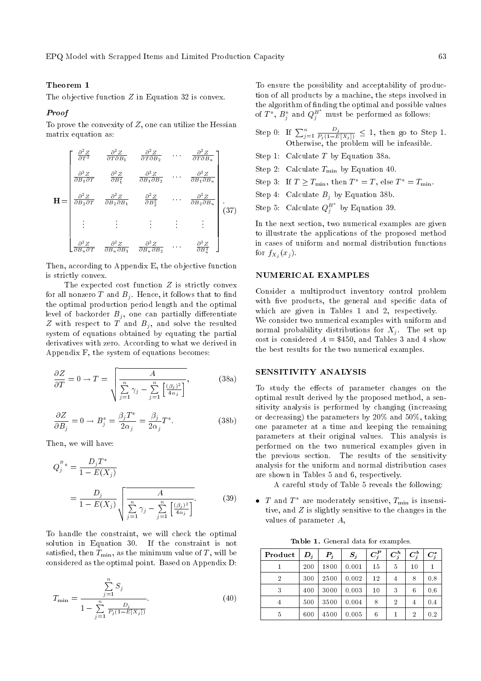# Theorem 1

The objective function  $Z$  in Equation 32 is convex.

# Proof

To prove the convexity of  $Z$ , one can utilize the Hessian matrix equation as:

$$
\mathbf{H} = \begin{bmatrix} \frac{\partial^2 Z}{\partial T^2} & \frac{\partial^2 Z}{\partial T \partial B_1} & \frac{\partial^2 Z}{\partial T \partial B_2} & \cdots & \frac{\partial^2 Z}{\partial T \partial B_n} \\ \frac{\partial^2 Z}{\partial B_1 \partial T} & \frac{\partial^2 Z}{\partial B_1^2} & \frac{\partial^2 Z}{\partial B_1 \partial B_2} & \cdots & \frac{\partial^2 Z}{\partial B_1 \partial B_n} \\ \frac{\partial^2 Z}{\partial B_2 \partial T} & \frac{\partial^2 Z}{\partial B_2 \partial B_1} & \frac{\partial^2 Z}{\partial B_2^2} & \cdots & \frac{\partial^2 Z}{\partial B_2 \partial B_n} \\ \vdots & \vdots & \vdots & \vdots & \vdots \\ \frac{\partial^2 Z}{\partial B_n \partial T} & \frac{\partial^2 Z}{\partial B_n \partial B_1} & \frac{\partial^2 Z}{\partial B_n \partial B_2} & \cdots & \frac{\partial^2 Z}{\partial B_n^2} \end{bmatrix} . \tag{37}
$$

Then, according to Appendix E, the objective function is strictly convex.

The expected cost function  $Z$  is strictly convex for all nonzero T and  $B_i$ . Hence, it follows that to find the optimal production period length and the optimal level of backorder  $B_i$ , one can partially differentiate Z with respect to T and  $B_i$ , and solve the resulted system of equations obtained by equating the partial derivatives with zero. According to what we derived in Appendix F, the system of equations becomes:

$$
\frac{\partial Z}{\partial T} = 0 \to T = \sqrt{\frac{A}{\sum_{j=1}^{n} \gamma_j - \sum_{j=1}^{n} \left[ \frac{(\beta_j)^2}{4\alpha_j} \right]}}\,,\tag{38a}
$$

$$
\frac{\partial Z}{\partial B_j} = 0 \to B_j^* = \frac{\beta_j T^*}{2\alpha_j} = \frac{\beta_j}{2\alpha_j} T^*.
$$
 (38b)

Then, we will have:

$$
Q_j^{\,B*} = \frac{D_j T^*}{1 - E(X_j)}
$$
  
= 
$$
\frac{D_j}{1 - E(X_j)} \sqrt{\frac{A}{\sum_{j=1}^n \gamma_j - \sum_{j=1}^n \left[\frac{(\beta_j)^2}{4\alpha_j}\right]}}.
$$
 (39)

To handle the constraint, we will check the optimal solution in Equation 30. If the constraint is not satisfied, then  $T_{\min}$ , as the minimum value of T, will be considered as the optimal point. Based on Appendix D:

$$
T_{\min} = \frac{\sum_{j=1}^{n} S_j}{1 - \sum_{j=1}^{n} \frac{D_j}{P_j (1 - E[X_j])}}.
$$
\n(40)

To ensure the possibility and acceptability of production of all products by a machine, the steps involved in the algorithm of finding the optimal and possible values of  $T^*,\,B^*_j\,$  and  $Q^{B^*}_j$  must be performed as follows:

- Step 0: If  $\sum_{j=1}^n \frac{D_j}{P_j(1-E[X_j])} \leq 1$ , then go to Step 1. Otherwise, the problem will be infeasible.
- Step 1: Calculate T by Equation 38a.
- Step 2: Calculate  $T_{\text{min}}$  by Equation 40.
- Step 3: If  $T \ge T_{\min}$ , then  $T^* = T$ , else  $T^* = T_{\min}$ .
- Step 4: Calculate  $B_j$  by Equation 38b.
- Step 5: Calculate  $Q_j^{B^*}$  by Equation 39.

In the next section, two numerical examples are given to illustrate the applications of the proposed method in cases of uniform and normal distribution functions for  $f_{X_j}(x_j)$ .

#### NUMERICAL EXAMPLES

Consider a multiproduct inventory control problem with five products, the general and specific data of which are given in Tables 1 and 2, respectively. We consider two numerical examples with uniform and normal probability distributions for  $X_i$ . The set up cost is considered  $A = $450$ , and Tables 3 and 4 show the best results for the two numerical examples.

## SENSITIVITY ANALYSIS

To study the effects of parameter changes on the optimal result derived by the proposed method, a sensitivity analysis is performed by changing (increasing or decreasing) the parameters by 20% and 50%, taking one parameter at a time and keeping the remaining parameters at their original values. This analysis is performed on the two numerical examples given in the previous section. The results of the sensitivity analysis for the uniform and normal distribution cases are shown in Tables 5 and 6, respectively.

A careful study of Table 5 reveals the following:

•  $T$  and  $T^*$  are moderately sensitive,  $T_{\min}$  is insensitive, and Z is slightly sensitive to the changes in the values of parameter A,

Table 1. General data for examples.

| Product        | $\bm{D}_{\bm{i}}$ | $\boldsymbol{P}_j$ | $S_j$ | $C_i^P$ | $C_i^h$ | $C_i^b$        | $C_j^s$ |
|----------------|-------------------|--------------------|-------|---------|---------|----------------|---------|
|                | 200               | 1800               | 0.001 | 15      | 5       | 10             |         |
| $\overline{2}$ | 300               | 2500               | 0.002 | 12      | 4       | 8              | 0.8     |
| 3              | 400               | 3000               | 0.003 | 10      | 3       | 6              | 0.6     |
| 4              | 500               | 3500               | 0.004 | 8       | 2       | 4              | 0.4     |
| 5              | 600               | 4500               | 0.005 | 6       |         | $\overline{2}$ | 0.2     |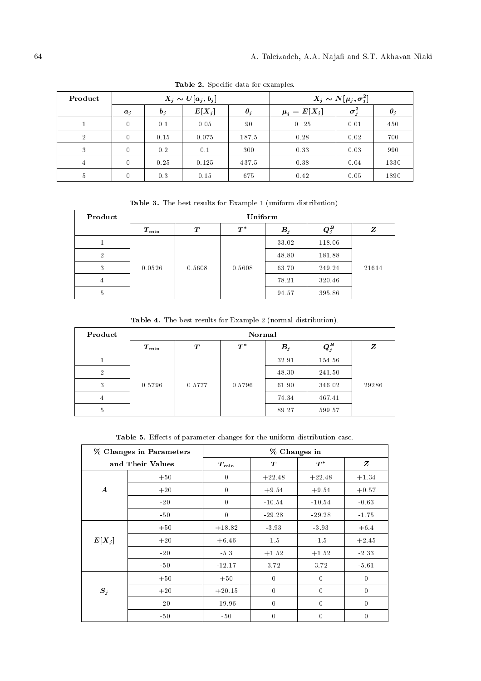| Product        | $X_j \sim U[a_j, b_j]$ |            |          | $X_j \sim N[\mu_j, \sigma_j^2]$ |                  |              |            |
|----------------|------------------------|------------|----------|---------------------------------|------------------|--------------|------------|
|                | $a_j$                  | $\bm{b}_i$ | $E[X_j]$ | $\theta_j$                      | $\mu_j = E[X_j]$ | $\sigma_i^2$ | $\theta_j$ |
|                | $\mathbf{0}$           | 0.1        | 0.05     | 90                              | 0.25             | 0.01         | 450        |
| $\overline{2}$ | $\theta$               | 0.15       | 0.075    | 187.5                           | 0.28             | 0.02         | 700        |
| 3              | $\theta$               | 0.2        | 0.1      | 300                             | 0.33             | 0.03         | 990        |
| 4              | $\theta$               | 0.25       | 0.125    | 437.5                           | 0.38             | 0.04         | 1330       |
| 5              | $\theta$               | 0.3        | 0.15     | 675                             | 0.42             | 0.05         | 1890       |

Table 2. Specific data for examples.

Table 3. The best results for Example 1 (uniform distribution).

| Product        | Uniform       |          |        |            |                                     |       |
|----------------|---------------|----------|--------|------------|-------------------------------------|-------|
|                | $T_{\rm min}$ | $\bm{T}$ | $T^*$  | $\bm{B}_j$ | $\boldsymbol{Q}_j^{\boldsymbol{B}}$ | Z     |
|                |               |          |        | 33.02      | 118.06                              |       |
| $\overline{2}$ |               |          |        | 48.80      | 181.88                              |       |
| 3              | 0.0526        | 0.5608   | 0.5608 | 63.70      | 249.24                              | 21614 |
| 4              |               |          |        | 78.21      | 320.46                              |       |
| 5              |               |          |        | 94.57      | 395.86                              |       |

Table 4. The best results for Example 2 (normal distribution).

| Product        | Normal        |          |        |            |                                     |       |
|----------------|---------------|----------|--------|------------|-------------------------------------|-------|
|                | $T_{\rm min}$ | $\bm{T}$ | $T^*$  | $\bm{B}_j$ | $\boldsymbol{Q}_j^{\boldsymbol{B}}$ | Z     |
|                |               |          |        | 32.91      | 154.56                              |       |
| $\overline{2}$ |               |          |        | 48.30      | 241.50                              |       |
| 3              | 0.5796        | 0.5777   | 0.5796 | 61.90      | 346.02                              | 29286 |
| 4              |               |          |        | 74.34      | 467.41                              |       |
| 5              |               |          |        | 89.27      | 599.57                              |       |

Table 5. Effects of parameter changes for the uniform distribution case.

| % Changes in Parameters |       | % Changes in   |              |                |              |  |  |
|-------------------------|-------|----------------|--------------|----------------|--------------|--|--|
| and Their Values        |       | $T_{\rm min}$  | $\bm{T}$     | $T^*$          | Z            |  |  |
|                         | $+50$ | $\overline{0}$ | $+22.48$     | $+22.48$       | $+1.34$      |  |  |
| $\boldsymbol{A}$        | $+20$ | $\theta$       | $+9.54$      | $+9.54$        | $+0.57$      |  |  |
|                         | $-20$ | $\Omega$       | $-10.54$     | $-10.54$       | $-0.63$      |  |  |
|                         | $-50$ | $\overline{0}$ | $-29.28$     | $-29.28$       | $-1.75$      |  |  |
|                         | $+50$ | $+18.82$       | -3.93        | -3.93          | $+6.4$       |  |  |
| $E[X_j]$                | $+20$ | $+6.46$        | $-1.5$       | $-1.5$         | $+2.45$      |  |  |
|                         | $-20$ | $-5.3$         | $+1.52$      | $+1.52$        | $-2.33$      |  |  |
|                         | $-50$ | $-12.17$       | 3.72         | 3.72           | $-5.61$      |  |  |
|                         | $+50$ | $+50$          | $\theta$     | $\theta$       | $\theta$     |  |  |
| $S_j$                   | $+20$ | $+20.15$       | $\Omega$     | $\theta$       | $\theta$     |  |  |
|                         | $-20$ | $-19.96$       | $\mathbf{0}$ | $\mathbf{0}$   | $\mathbf{0}$ |  |  |
|                         | $-50$ | $-50$          | $\theta$     | $\overline{0}$ | $\mathbf{0}$ |  |  |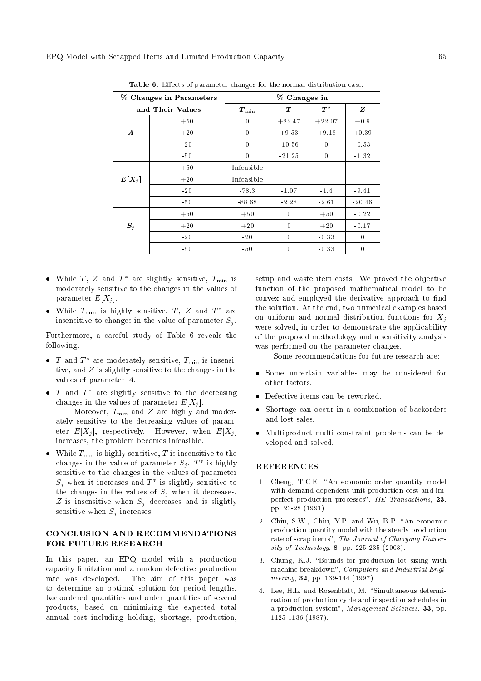| % Changes in Parameters |       | % Changes in  |          |                |          |  |  |
|-------------------------|-------|---------------|----------|----------------|----------|--|--|
| and Their Values        |       | $T_{\rm min}$ | Т        | $T^*$          | z        |  |  |
|                         | $+50$ | $\theta$      | $+22.47$ | $+22.07$       | $+0.9$   |  |  |
| $\boldsymbol{A}$        | $+20$ | $\theta$      | $+9.53$  | $+9.18$        | $+0.39$  |  |  |
|                         | $-20$ | $\theta$      | $-10.56$ | $\theta$       | $-0.53$  |  |  |
|                         | $-50$ | $\bf{0}$      | $-21.25$ | $\overline{0}$ | $-1.32$  |  |  |
|                         | $+50$ | Infeasible    |          |                |          |  |  |
| $E[X_j]$                | $+20$ | Infeasible    |          |                |          |  |  |
|                         | $-20$ | $-78.3$       | $-1.07$  | $-1.4$         | $-9.41$  |  |  |
|                         | $-50$ | $-88.68$      | $-2.28$  | $-2.61$        | $-20.46$ |  |  |
|                         | $+50$ | $+50$         | $\theta$ | $+50$          | $-0.22$  |  |  |
| $S_j$                   | $+20$ | $+20$         | $\Omega$ | $+20$          | $-0.17$  |  |  |
|                         | $-20$ | $-20$         | $\theta$ | $-0.33$        | $\theta$ |  |  |
|                         | $-50$ | $-50$         | $\theta$ | $-0.33$        | 0        |  |  |

Table 6. Effects of parameter changes for the normal distribution case.

- While  $T$ ,  $Z$  and  $T^*$  are slightly sensitive,  $T_{\min}$  is moderately sensitive to the changes in the values of parameter  $E[X_i]$ .
- While  $T_{\min}$  is highly sensitive,  $T$ ,  $Z$  and  $T^*$  are insensitive to changes in the value of parameter  $S_j$ .

Furthermore, a careful study of Table 6 reveals the following:

- $T$  and  $T^*$  are moderately sensitive,  $T_{\min}$  is insensitive, and Z is slightly sensitive to the changes in the values of parameter A.
- $T$  and  $T^*$  are slightly sensitive to the decreasing changes in the values of parameter  $E[X_i]$ .

Moreover,  $T_{\min}$  and  $Z$  are highly and moderately sensitive to the decreasing values of parameter  $E[X_i]$ , respectively. However, when  $E[X_i]$ increases, the problem becomes infeasible.

• While  $T_{\min}$  is highly sensitive, T is insensitive to the changes in the value of parameter  $S_j$ .  $T^*$  is highly sensitive to the changes in the values of parameter  $S_j$  when it increases and  $T^*$  is slightly sensitive to the changes in the values of  $S_i$  when it decreases.  $Z$  is insensitive when  $S_j$  decreases and is slightly sensitive when  $S_j$  increases.

## CONCLUSION AND RECOMMENDATIONS FOR FUTURE RESEARCH

In this paper, an EPQ model with a production capacity limitation and a random defective production rate was developed. The aim of this paper was to determine an optimal solution for period lengths, backordered quantities and order quantities of several products, based on minimizing the expected total annual cost including holding, shortage, production, setup and waste item costs. We proved the objective function of the proposed mathematical model to be convex and employed the derivative approach to find the solution. At the end, two numerical examples based on uniform and normal distribution functions for  $X_i$ were solved, in order to demonstrate the applicability of the proposed methodology and a sensitivity analysis was performed on the parameter changes.

Some recommendations for future research are:

- Some uncertain variables may be considered for other factors.
- Defective items can be reworked.
- Shortage can occur in a combination of backorders and lost-sales.
- Multiproduct multi-constraint problems can be developed and solved.

# **REFERENCES**

- 1. Cheng, T.C.E. "An economic order quantity model with demand-dependent unit production cost and imperfect production processes", IIE Transactions, 23, pp. 23-28 (1991).
- 2. Chiu, S.W., Chiu, Y.P. and Wu, B.P. "An economic production quantity model with the steady production rate of scrap items", The Journal of Chaoyang University of Technology, 8, pp. 225-235 (2003).
- 3. Chung, K.J. "Bounds for production lot sizing with machine breakdown", Computers and Industrial Engineering, 32, pp. 139-144 (1997).
- 4. Lee, H.L. and Rosenblatt, M. "Simultaneous determination of production cycle and inspection schedules in a production system", Management Sciences, 33, pp. 1125-1136 (1987).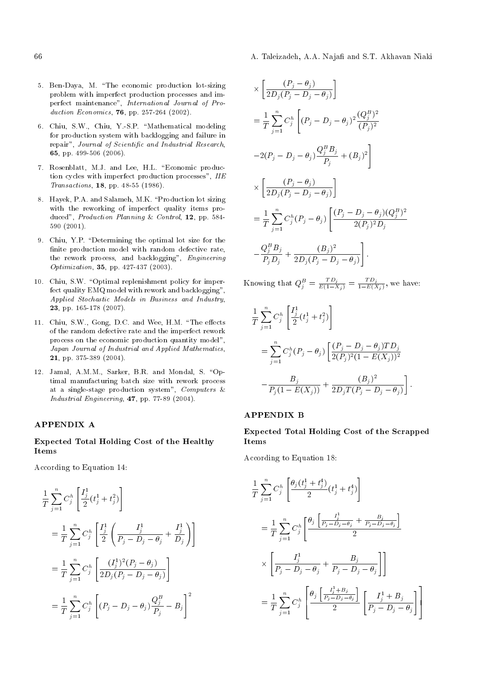- 66 A. Taleizadeh, A.A. Naja and S.T. Akhavan Niaki
- 5. Ben-Daya, M. \The economic production lot-sizing problem with imperfect production processes and imperfect maintenance", International Journal of Production Economics, 76, pp. 257-264 (2002).
- 6. Chiu, S.W., Chiu, Y.-S.P. "Mathematical modeling for production system with backlogging and failure in repair", Journal of Scientific and Industrial Research, 65, pp. 499-506 (2006).
- 7. Rosenblatt, M.J. and Lee, H.L. "Economic production cycles with imperfect production processes", IIE Transactions, 18, pp. 48-55 (1986).
- 8. Hayek, P.A. and Salameh, M.K. \Production lot sizing with the reworking of imperfect quality items produced", Production Planning & Control, 12, pp. 584-590 (2001).
- 9. Chiu, Y.P. "Determining the optimal lot size for the finite production model with random defective rate, the rework process, and backlogging", Engineering Optimization, 35, pp. 427-437 (2003).
- 10. Chiu, S.W. "Optimal replenishment policy for imperfect quality EMQ model with rework and backlogging", Applied Stochastic Models in Business and Industry, 23, pp. 165-178 (2007).
- 11. Chiu, S.W., Gong, D.C. and Wee, H.M. "The effects of the random defective rate and the imperfect rework process on the economic production quantity model", Japan Journal of Industrial and Applied Mathematics, 21, pp. 375-389 (2004).
- 12. Jamal, A.M.M., Sarker, B.R. and Mondal, S. "Optimal manufacturing batch size with rework process at a single-stage production system", Computers & Industrial Engineering, 47, pp. 77-89 (2004).

# APPENDIX A

Expected Total Holding Cost of the Healthy Items

According to Equation 14:

$$
\frac{1}{T} \sum_{j=1}^{n} C_{j}^{h} \left[ \frac{I_{j}^{1}}{2} (t_{j}^{1} + t_{j}^{2}) \right]
$$
\n
$$
= \frac{1}{T} \sum_{j=1}^{n} C_{j}^{h} \left[ \frac{I_{j}^{1}}{2} \left( \frac{I_{j}^{1}}{P_{j} - D_{j} - \theta_{j}} + \frac{I_{j}^{1}}{D_{j}} \right) \right]
$$
\n
$$
= \frac{1}{T} \sum_{j=1}^{n} C_{j}^{h} \left[ \frac{(I_{j}^{1})^{2} (P_{j} - \theta_{j})}{2D_{j} (P_{j} - D_{j} - \theta_{j})} \right]
$$
\n
$$
= \frac{1}{T} \sum_{j=1}^{n} C_{j}^{h} \left[ (P_{j} - D_{j} - \theta_{j}) \frac{Q_{j}^{B}}{P_{j}} - B_{j} \right]^{2}
$$

$$
\times \left[ \frac{(P_j - \theta_j)}{2D_j(P_j - D_j - \theta_j)} \right]
$$
  
=  $\frac{1}{T} \sum_{j=1}^n C_j^h \left[ (P_j - D_j - \theta_j)^2 \frac{(Q_j^B)^2}{(P_j)^2} -2(P_j - D_j - \theta_j) \frac{Q_j^B B_j}{P_j} + (B_j)^2 \right]$   
 $\times \left[ \frac{(P_j - \theta_j)}{2D_j(P_j - D_j - \theta_j)} \right]$   
=  $\frac{1}{T} \sum_{j=1}^n C_j^h (P_j - \theta_j) \left[ \frac{(P_j - D_j - \theta_j)(Q_j^B)^2}{2(P_j)^2 D_j} -\frac{Q_j^B B_j}{P_j D_j} + \frac{(B_j)^2}{2D_j(P_j - D_j - \theta_j)} \right].$ 

Knowing that  $Q_j^B = \frac{T D_j}{E(1-X_j)} = \frac{T D_j}{1-E(X)}$  $\frac{1}{1-E(X_j)}$ , we have:

$$
\frac{1}{T} \sum_{j=1}^{n} C_j^h \left[ \frac{I_j^1}{2} (t_j^1 + t_j^2) \right]
$$
\n
$$
= \sum_{j=1}^{n} C_j^h (P_j - \theta_j) \left[ \frac{(P_j - D_j - \theta_j) T D_j}{2(P_j)^2 (1 - E(X_j))^2} - \frac{B_j}{P_j (1 - E(X_j))} + \frac{(B_j)^2}{2D_j T (P_j - D_j - \theta_j)} \right].
$$

### APPENDIX B

Expected Total Holding Cost of the Scrapped Items

According to Equation 18:

$$
\frac{1}{T} \sum_{j=1}^{n} C_{j}^{h} \left[ \frac{\theta_{j} (t_{j}^{1} + t_{j}^{4})}{2} (t_{j}^{1} + t_{j}^{4}) \right]
$$
\n
$$
= \frac{1}{T} \sum_{j=1}^{n} C_{j}^{h} \left[ \frac{\theta_{j} \left[ \frac{I_{j}^{1}}{P_{j} - D_{j} - \theta_{j}} + \frac{B_{j}}{P_{j} - D_{j} - \theta_{j}} \right]}{2} \right]
$$
\n
$$
\times \left[ \frac{I_{j}^{1}}{P_{j} - D_{j} - \theta_{j}} + \frac{B_{j}}{P_{j} - D_{j} - \theta_{j}} \right]
$$
\n
$$
= \frac{1}{T} \sum_{j=1}^{n} C_{j}^{h} \left[ \frac{\theta_{j} \left[ \frac{I_{j}^{1} + B_{j}}{P_{j} - D_{j} - \theta_{j}} \right]}{2} \left[ \frac{I_{j}^{1} + B_{j}}{P_{j} - D_{j} - \theta_{j}} \right] \right]
$$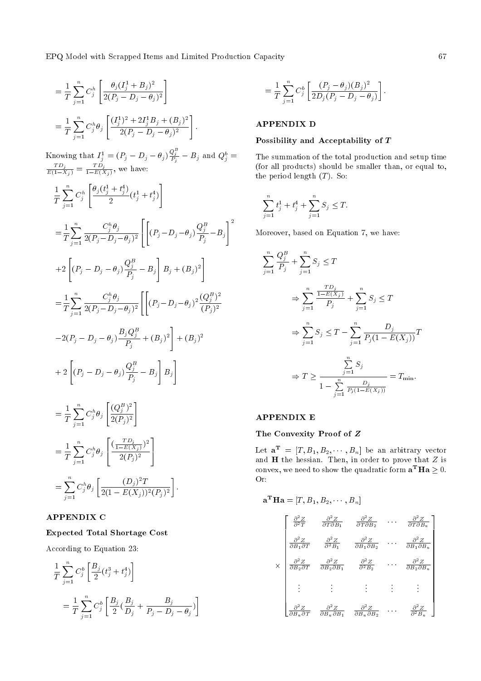EPQ Model with Scrapped Items and Limited Production Capacity 67

$$
= \frac{1}{T} \sum_{j=1}^{n} C_j^h \left[ \frac{\theta_j (I_j^1 + B_j)^2}{2(P_j - D_j - \theta_j)^2} \right]
$$
  
= 
$$
\frac{1}{T} \sum_{j=1}^{n} C_j^h \theta_j \left[ \frac{(I_j^1)^2 + 2I_j^1 B_j + (B_j)^2}{2(P_j - D_j - \theta_j)^2} \right].
$$

Knowing that  $I_j^1 = (P_j - D_j - \theta_j) \frac{Q_j^B}{P_j} - B_j$  and  $Q_j^b =$  $\frac{TD_j}{E(1-X_j)} = \frac{TD_j}{1-E(X)}$  $\frac{1}{1-E(X_j)}$ , we have:

$$
\frac{1}{T} \sum_{j=1}^{n} C_{j}^{h} \left[ \frac{\theta_{j}(t_{j}^{1} + t_{j}^{4})}{2} (t_{j}^{1} + t_{j}^{4}) \right]
$$
\n
$$
= \frac{1}{T} \sum_{j=1}^{n} \frac{C_{j}^{h} \theta_{j}}{2(P_{j} - D_{j} - \theta_{j})^{2}} \left[ \left[ (P_{j} - D_{j} - \theta_{j}) \frac{Q_{j}^{B}}{P_{j}} - B_{j} \right]^{2} \right]
$$
\n
$$
+ 2 \left[ (P_{j} - D_{j} - \theta_{j}) \frac{Q_{j}^{B}}{P_{j}} - B_{j} \right] B_{j} + (B_{j})^{2} \right]
$$
\n
$$
= \frac{1}{T} \sum_{j=1}^{n} \frac{C_{j}^{h} \theta_{j}}{2(P_{j} - D_{j} - \theta_{j})^{2}} \left[ \left[ (P_{j} - D_{j} - \theta_{j})^{2} \frac{(Q_{j}^{B})^{2}}{(P_{j})^{2}} - 2(P_{j} - D_{j} - \theta_{j}) \frac{B_{j} Q_{j}^{B}}{P_{j}} + (B_{j})^{2} \right] + (B_{j})^{2} \right]
$$
\n
$$
+ 2 \left[ (P_{j} - D_{j} - \theta_{j}) \frac{Q_{j}^{B}}{P_{j}} - B_{j} \right] B_{j} \right]
$$
\n
$$
= \frac{1}{T} \sum_{j=1}^{n} C_{j}^{h} \theta_{j} \left[ \frac{(Q_{j}^{B})^{2}}{2(P_{j})^{2}} \right]
$$
\n
$$
= \frac{1}{T} \sum_{j=1}^{n} C_{j}^{h} \theta_{j} \left[ \frac{(T_{j} - E(X_{j})^{2})}{2(P_{j})^{2}} \right]
$$

$$
= \sum_{j=1}^n C_j^h \theta_j \left[ \frac{(D_j)^2 T}{2(1 - E(X_j))^2 (P_j)^2} \right].
$$

# APPENDIX C

## Expected Total Shortage Cost

According to Equation 23:

$$
\frac{1}{T} \sum_{j=1}^{n} C_j^b \left[ \frac{B_j}{2} (t_j^3 + t_j^4) \right]
$$
\n
$$
= \frac{1}{T} \sum_{j=1}^{n} C_j^b \left[ \frac{B_j}{2} (\frac{B_j}{D_j} + \frac{B_j}{P_j - D_j - \theta_j}) \right]
$$

 $\overline{1}$ 

$$
= \frac{1}{T} \sum_{j=1}^{n} C_{j}^{b} \left[ \frac{(P_{j} - \theta_{j})(B_{j})^{2}}{2D_{j}(P_{j} - D_{j} - \theta_{j})} \right]
$$

# APPENDIX D

## Possibility and Acceptability of T

The summation of the total production and setup time (for all products) should be smaller than, or equal to, the period length  $(T)$ . So:

:

$$
\sum_{j=1}^{n} t_j^1 + t_j^4 + \sum_{j=1}^{n} S_j \le T.
$$

Moreover, based on Equation 7, we have:

$$
\sum_{j=1}^{n} \frac{Q_j^B}{P_j} + \sum_{j=1}^{n} S_j \le T
$$
\n
$$
\Rightarrow \sum_{j=1}^{n} \frac{\frac{TD_j}{1 - E(X_j)}}{P_j} + \sum_{j=1}^{n} S_j \le T
$$
\n
$$
\Rightarrow \sum_{j=1}^{n} S_j \le T - \sum_{j=1}^{n} \frac{D_j}{P_j (1 - E(X_j))} T
$$
\n
$$
\Rightarrow T \ge \frac{\sum_{j=1}^{n} S_j}{1 - \sum_{j=1}^{n} \frac{D_j}{P_j (1 - E(X_j))}} = T_{\min}.
$$

## APPENDIX E

# The Convexity Proof of Z

Let  $\mathbf{a}^{\mathbf{T}} = [T, B_1, B_2, \cdots, B_n]$  be an arbitrary vector and  $H$  the hessian. Then, in order to prove that  $Z$  is convex, we need to show the quadratic form  $\mathbf{a}^{\mathbf{T}}\mathbf{H}\mathbf{a} \geq 0$ . Or:

$$
\mathbf{a}^{\mathbf{T}}\mathbf{H}\mathbf{a} = [T, B_1, B_2, \cdots, B_n]
$$
\n
$$
\begin{bmatrix}\n\frac{\partial^2 Z}{\partial^2 T} & \frac{\partial^2 Z}{\partial T \partial B_1} & \frac{\partial^2 Z}{\partial T \partial B_2} & \cdots & \frac{\partial^2 Z}{\partial T \partial B_n} \\
\frac{\partial^2 Z}{\partial B_1 \partial T} & \frac{\partial^2 Z}{\partial^2 B_1} & \frac{\partial^2 Z}{\partial B_1 \partial B_2} & \cdots & \frac{\partial^2 Z}{\partial B_1 \partial B_n} \\
\frac{\partial^2 Z}{\partial B_2 \partial T} & \frac{\partial^2 Z}{\partial B_2 \partial B_1} & \frac{\partial^2 Z}{\partial^2 B_2} & \cdots & \frac{\partial^2 Z}{\partial B_2 \partial B_n} \\
\vdots & \vdots & \vdots & \vdots & \vdots \\
\frac{\partial^2 Z}{\partial B_n \partial T} & \frac{\partial^2 Z}{\partial B_n \partial B_1} & \frac{\partial^2 Z}{\partial B_n \partial B_2} & \cdots & \frac{\partial^2 Z}{\partial^2 B_n}\n\end{bmatrix}
$$

3  $\mathbf{1}$  $\overline{\phantom{a}}$  $\overline{\phantom{a}}$  $\overline{\phantom{a}}$  $\overline{\phantom{a}}$  $\overline{\phantom{a}}$  $\overline{\phantom{a}}$  $\overline{\phantom{a}}$  $\overline{\phantom{a}}$  $\overline{\phantom{a}}$  $\overline{\phantom{a}}$  $\overline{\phantom{a}}$  $\overline{\phantom{a}}$  $\overline{\phantom{a}}$  $\overline{1}$  $\overline{1}$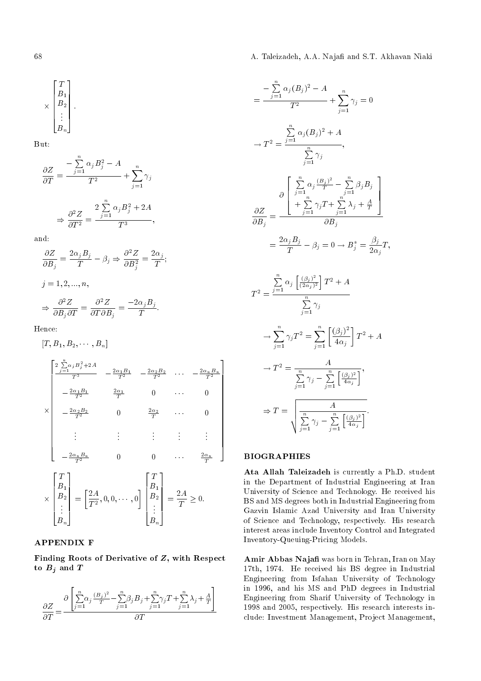68 A. Taleizadeh, A.A. Naja and S.T. Akhavan Niaki

$$
\times \begin{bmatrix} T \\ B_1 \\ B_2 \\ \vdots \\ B_n \end{bmatrix}.
$$

But:

$$
\frac{\partial Z}{\partial T} = \frac{-\sum_{j=1}^{n} \alpha_j B_j^2 - A}{T^2} + \sum_{j=1}^{n} \gamma_j
$$

$$
\Rightarrow \frac{\partial^2 Z}{\partial T^2} = \frac{2\sum_{j=1}^{n} \alpha_j B_j^2 + 2A}{T^3},
$$

and:

$$
\frac{\partial Z}{\partial B_j} = \frac{2\alpha_j B_j}{T} - \beta_j \Rightarrow \frac{\partial^2 Z}{\partial B_j^2} = \frac{2\alpha_j}{T};
$$
  

$$
j = 1, 2, ..., n,
$$
  

$$
\Rightarrow \frac{\partial^2 Z}{\partial B_j \partial T} = \frac{\partial^2 Z}{\partial T \partial B_j} = \frac{-2\alpha_j B_j}{T}.
$$

Hence:

$$
[T, B_1, B_2, \cdots, B_n]
$$
\n
$$
\begin{bmatrix}\n\frac{2 \sum_{j=1}^{n} \alpha_j B_j^2 + 2A}{T^3} & -\frac{2\alpha_1 B_1}{T^2} & -\frac{2\alpha_2 B_2}{T^2} & \cdots & -\frac{2\alpha_n B_n}{T^2} \\
-\frac{2\alpha_1 B_1}{T^2} & \frac{2\alpha_1}{T} & 0 & \cdots & 0 \\
-\frac{2\alpha_2 B_2}{T^2} & 0 & \frac{2\alpha_2}{T} & \cdots & 0 \\
\vdots & \vdots & \vdots & \vdots & \vdots \\
-\frac{2\alpha_n B_n}{T^2} & 0 & 0 & \cdots & \frac{2\alpha_n}{T}\n\end{bmatrix}
$$
\n
$$
\times \begin{bmatrix}\nT \\
B_1 \\
B_2 \\
\vdots \\
B_n\n\end{bmatrix} = \begin{bmatrix}\n2A \\
T^2\n\end{bmatrix}, 0, 0, \cdots, 0\n\end{bmatrix} \begin{bmatrix}\nT \\
B_1 \\
B_2 \\
\vdots \\
B_n\n\end{bmatrix} = \frac{2A}{T} \ge 0.
$$

# APPENDIX F

Finding Roots of Derivative of Z, with Respect to  $B_j$  and  $T$ 

$$
\frac{\partial Z}{\partial T} = \frac{\partial \left[ \sum_{j=1}^{n} \alpha_j \frac{(B_j)^2}{T} - \sum_{j=1}^{n} \beta_j B_j + \sum_{j=1}^{n} \gamma_j T + \sum_{j=1}^{n} \lambda_j + \frac{A}{T} \right]}{\partial T}
$$

$$
= \frac{-\sum_{j=1}^{n} \alpha_j (B_j)^2 - A}{T^2} + \sum_{j=1}^{n} \gamma_j = 0
$$
  
\n
$$
\rightarrow T^2 = \frac{\sum_{j=1}^{n} \alpha_j (B_j)^2 + A}{\sum_{j=1}^{n} \gamma_j}
$$
  
\n
$$
\frac{\sum_{j=1}^{n} \alpha_j \frac{(B_j)^2}{T} - \sum_{j=1}^{n} \beta_j B_j}{\frac{\partial Z}{\partial B_j}} = \frac{\frac{1}{\sum_{j=1}^{n} \gamma_j T + \sum_{j=1}^{n} \lambda_j + \frac{A}{T}}{\frac{\partial B_j}{\partial B_j}}}{T^2}
$$
  
\n
$$
= \frac{2\alpha_j B_j}{T} - \beta_j = 0 \rightarrow B_j^* = \frac{\beta_j}{2\alpha_j} T,
$$
  
\n
$$
T^2 = \frac{\sum_{j=1}^{n} \alpha_j \left[\frac{(\beta_j)^2}{(2\alpha_j)^2}\right] T^2 + A}{\sum_{j=1}^{n} \gamma_j}
$$
  
\n
$$
\rightarrow \sum_{j=1}^{n} \gamma_j T^2 = \sum_{j=1}^{n} \left[\frac{(\beta_j)^2}{4\alpha_j}\right] T^2 + A
$$
  
\n
$$
\rightarrow T^2 = \frac{A}{\sum_{j=1}^{n} \gamma_j - \sum_{j=1}^{n} \left[\frac{(\beta_j)^2}{4\alpha_j}\right]}.
$$
  
\n
$$
\Rightarrow T = \sqrt{\sum_{j=1}^{n} \gamma_j - \sum_{j=1}^{n} \left[\frac{(\beta_j)^2}{4\alpha_j}\right]}.
$$

## BIOGRAPHIES

Ata Allah Taleizadeh is currently a Ph.D. student in the Department of Industrial Engineering at Iran University of Science and Technology. He received his BS and MS degrees both in Industrial Engineering from Gazvin Islamic Azad University and Iran University of Science and Technology, respectively. His research interest areas include Inventory Control and Integrated Inventory-Queuing-Pricing Models.

Amir Abbas Naja was born in Tehran, Iran on May 17th, 1974. He received his BS degree in Industrial Engineering from Isfahan University of Technology in 1996, and his MS and PhD degrees in Industrial Engineering from Sharif University of Technology in 1998 and 2005, respectively. His research interests include: Investment Management, Project Management,